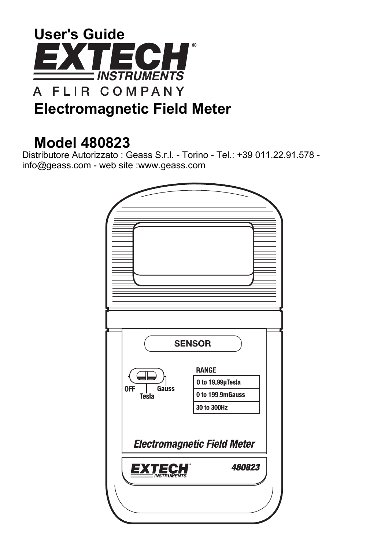

# **Model 480823**

Distributore Autorizzato : Geass S.r.l. - Torino - Tel.: +39 011.22.91.578 info@geass.com - web site :www.geass.com

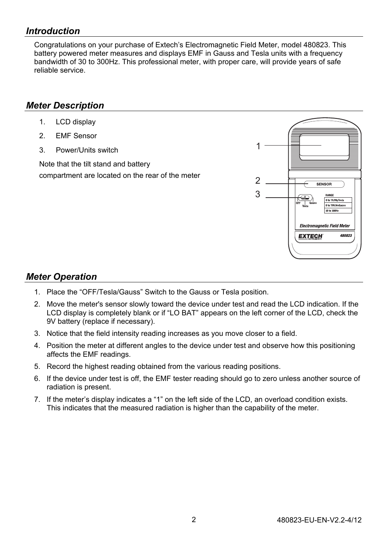## *Introduction*

Congratulations on your purchase of Extech's Electromagnetic Field Meter, model 480823. This battery powered meter measures and displays EMF in Gauss and Tesla units with a frequency bandwidth of 30 to 300Hz. This professional meter, with proper care, will provide years of safe reliable service.

#### *Meter Description*

- 1. LCD display
- 2. EMF Sensor
- 3. Power/Units switch

Note that the tilt stand and battery compartment are located on the rear of the meter



## *Meter Operation*

- 1. Place the "OFF/Tesla/Gauss" Switch to the Gauss or Tesla position.
- 2. Move the meter's sensor slowly toward the device under test and read the LCD indication. If the LCD display is completely blank or if "LO BAT" appears on the left corner of the LCD, check the 9V battery (replace if necessary).
- 3. Notice that the field intensity reading increases as you move closer to a field.
- 4. Position the meter at different angles to the device under test and observe how this positioning affects the EMF readings.
- 5. Record the highest reading obtained from the various reading positions.
- 6. If the device under test is off, the EMF tester reading should go to zero unless another source of radiation is present.
- 7. If the meter's display indicates a "1" on the left side of the LCD, an overload condition exists. This indicates that the measured radiation is higher than the capability of the meter.